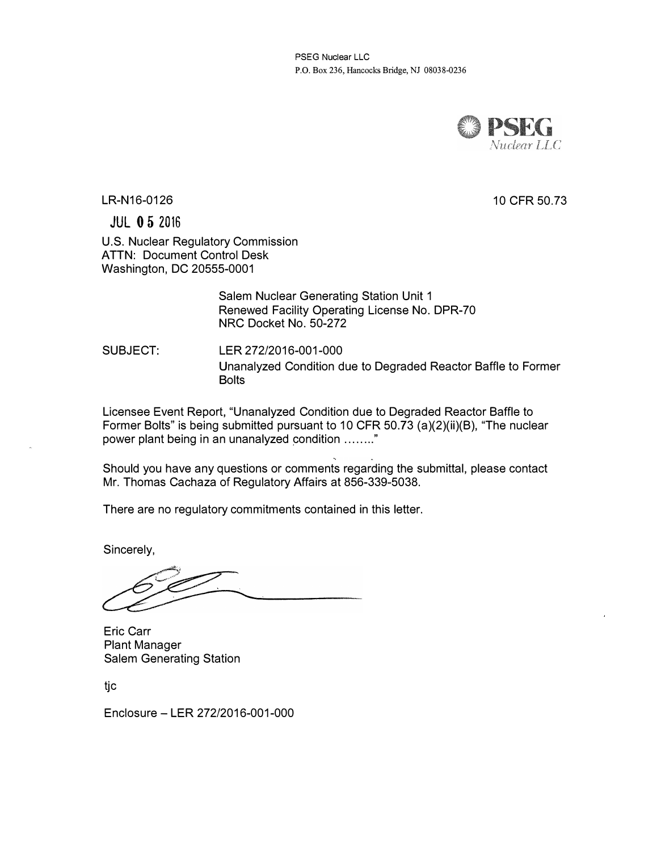PSEG Nuclear LLC P.O. Box 236, Hancocks Bridge, NJ 08038-0236



10 CFR 50.73

LR-N16-0126

JUL 0 5 2016

U.S. Nuclear Regulatory Commission ATTN: Document Control Desk Washington, DC 20555-0001

> Salem Nuclear Generating Station Unit 1 Renewed Facility Operating License No. DPR-70 NRC Docket No. 50-272

SUBJECT: LER 272/2016-001-000 Unanalyzed Condition due to Degraded Reactor Baffle to Former **Bolts** 

Licensee Event Report, "Unanalyzed Condition due to Degraded Reactor Baffle to Former Bolts" is being submitted pursuant to 10 CFR 50.73 (a)(2)(ii)(B), "The nuclear power plant being in an unanalyzed condition ........ "

Should you have any questions or comments regarding the submittal, please contact Mr. Thomas Cachaza of Regulatory Affairs at 856-339-5038.

There are no regulatory commitments contained in this letter.

Sincerely,

Eric Carr Plant Manager Salem Generating Station

tjc

Enclosure- LER 272/2016-001-000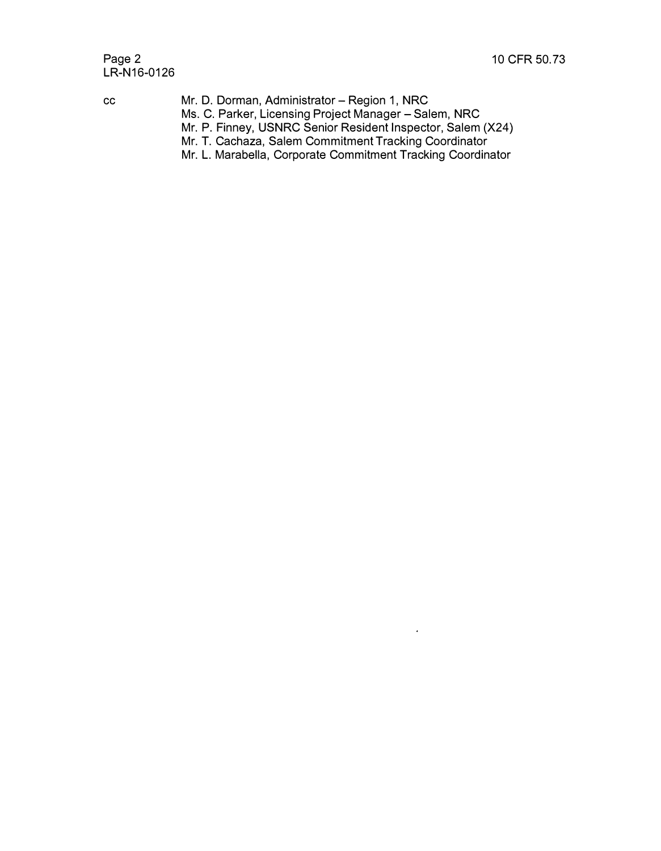# Page 2 10 CFR 50.73 LR-N16-0126

- cc Mr. D. Dorman, Administrator- Region 1, NRC Ms. C. Parker, Licensing Project Manager – Salem, NRC Mr. P. Finney, USNRC Senior Resident Inspector, Salem (X24)
	- Mr. T. Cachaza, Salem Commitment Tracking Coordinator
	- Mr. L. Marabella, Corporate Commitment Tracking Coordinator

 $\ddot{\phantom{a}}$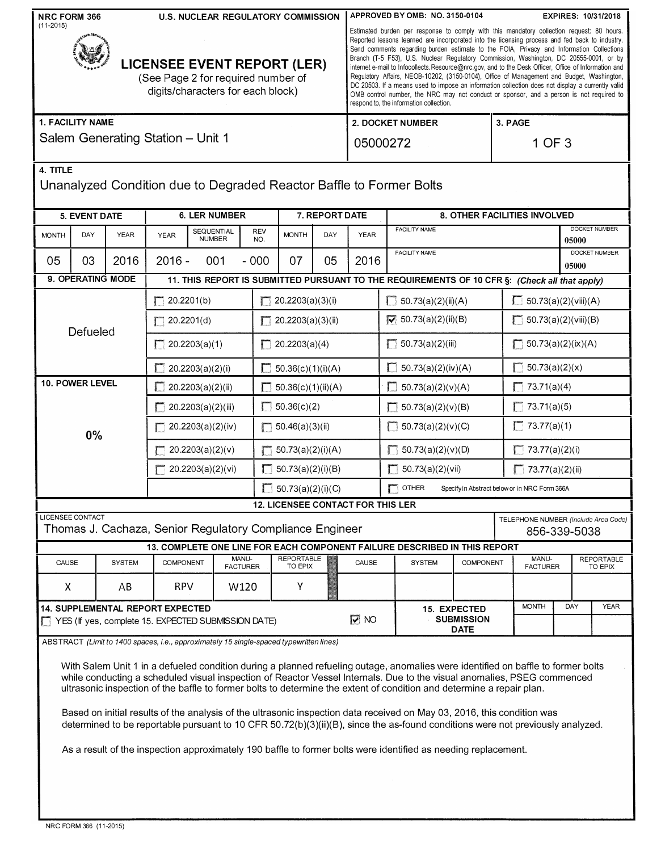| NRC FORM 366<br><b>U.S. NUCLEAR REGULATORY COMMISSION</b><br>$(11 - 2015)$<br><b>LICENSEE EVENT REPORT (LER)</b><br>(See Page 2 for required number of<br>digits/characters for each block)<br>1. FACILITY NAME                                                                                                                                                                                                                                                                                                                                                                                                                                   |                                                                                                                                             |                   |                                         |                                                                                     | APPROVED BY OMB: NO. 3150-0104<br><b>EXPIRES: 10/31/2018</b><br>Estimated burden per response to comply with this mandatory collection request: 80 hours.<br>Reported lessons learned are incorporated into the licensing process and fed back to industry.<br>Send comments regarding burden estimate to the FOIA, Privacy and Information Collections<br>Branch (T-5 F53), U.S. Nuclear Regulatory Commission, Washington, DC 20555-0001, or by<br>internet e-mail to infocollects. Resource@nrc.gov, and to the Desk Officer, Office of Information and<br>Regulatory Affairs, NEOB-10202, (3150-0104), Office of Management and Budget, Washington,<br>DC 20503. If a means used to impose an information collection does not display a currently valid<br>OMB control number, the NRC may not conduct or sponsor, and a person is not required to<br>respond to, the information collection.<br>2. DOCKET NUMBER<br>3. PAGE |                    |                                   |                                                               |                                                                                               |                                                |                                              |                             |                              |  |  |
|---------------------------------------------------------------------------------------------------------------------------------------------------------------------------------------------------------------------------------------------------------------------------------------------------------------------------------------------------------------------------------------------------------------------------------------------------------------------------------------------------------------------------------------------------------------------------------------------------------------------------------------------------|---------------------------------------------------------------------------------------------------------------------------------------------|-------------------|-----------------------------------------|-------------------------------------------------------------------------------------|----------------------------------------------------------------------------------------------------------------------------------------------------------------------------------------------------------------------------------------------------------------------------------------------------------------------------------------------------------------------------------------------------------------------------------------------------------------------------------------------------------------------------------------------------------------------------------------------------------------------------------------------------------------------------------------------------------------------------------------------------------------------------------------------------------------------------------------------------------------------------------------------------------------------------------|--------------------|-----------------------------------|---------------------------------------------------------------|-----------------------------------------------------------------------------------------------|------------------------------------------------|----------------------------------------------|-----------------------------|------------------------------|--|--|
| Salem Generating Station - Unit 1                                                                                                                                                                                                                                                                                                                                                                                                                                                                                                                                                                                                                 |                                                                                                                                             |                   |                                         |                                                                                     |                                                                                                                                                                                                                                                                                                                                                                                                                                                                                                                                                                                                                                                                                                                                                                                                                                                                                                                                  | 05000272<br>1 OF 3 |                                   |                                                               |                                                                                               |                                                |                                              |                             |                              |  |  |
|                                                                                                                                                                                                                                                                                                                                                                                                                                                                                                                                                                                                                                                   | 4. TITLE<br>Unanalyzed Condition due to Degraded Reactor Baffle to Former Bolts                                                             |                   |                                         |                                                                                     |                                                                                                                                                                                                                                                                                                                                                                                                                                                                                                                                                                                                                                                                                                                                                                                                                                                                                                                                  |                    |                                   |                                                               |                                                                                               |                                                |                                              |                             |                              |  |  |
| 5. EVENT DATE<br><b>6. LER NUMBER</b>                                                                                                                                                                                                                                                                                                                                                                                                                                                                                                                                                                                                             |                                                                                                                                             |                   |                                         |                                                                                     | 7. REPORT DATE                                                                                                                                                                                                                                                                                                                                                                                                                                                                                                                                                                                                                                                                                                                                                                                                                                                                                                                   |                    |                                   | 8. OTHER FACILITIES INVOLVED                                  |                                                                                               |                                                |                                              |                             |                              |  |  |
| <b>MONTH</b>                                                                                                                                                                                                                                                                                                                                                                                                                                                                                                                                                                                                                                      | DAY                                                                                                                                         | <b>YEAR</b>       | <b>YEAR</b>                             | <b>SEQUENTIAL</b><br><b>NUMBER</b>                                                  | <b>REV</b><br>NO.                                                                                                                                                                                                                                                                                                                                                                                                                                                                                                                                                                                                                                                                                                                                                                                                                                                                                                                | <b>MONTH</b>       | DAY                               | <b>YEAR</b>                                                   | <b>FACILITY NAME</b><br>05000                                                                 |                                                |                                              | <b>DOCKET NUMBER</b>        |                              |  |  |
| 05                                                                                                                                                                                                                                                                                                                                                                                                                                                                                                                                                                                                                                                | 03                                                                                                                                          | 2016              | $2016 -$                                | 001                                                                                 | $-000$                                                                                                                                                                                                                                                                                                                                                                                                                                                                                                                                                                                                                                                                                                                                                                                                                                                                                                                           | 07                 | 05                                | 2016                                                          |                                                                                               | DOCKET NUMBER<br><b>FACILITY NAME</b><br>05000 |                                              |                             |                              |  |  |
|                                                                                                                                                                                                                                                                                                                                                                                                                                                                                                                                                                                                                                                   |                                                                                                                                             | 9. OPERATING MODE |                                         |                                                                                     |                                                                                                                                                                                                                                                                                                                                                                                                                                                                                                                                                                                                                                                                                                                                                                                                                                                                                                                                  |                    |                                   |                                                               | 11. THIS REPORT IS SUBMITTED PURSUANT TO THE REQUIREMENTS OF 10 CFR §: (Check all that apply) |                                                |                                              |                             |                              |  |  |
|                                                                                                                                                                                                                                                                                                                                                                                                                                                                                                                                                                                                                                                   |                                                                                                                                             |                   | " 20.2201(b)                            |                                                                                     |                                                                                                                                                                                                                                                                                                                                                                                                                                                                                                                                                                                                                                                                                                                                                                                                                                                                                                                                  | 20.2203(a)(3)(i)   |                                   |                                                               | $\Box$ 50.73(a)(2)(ii)(A)                                                                     |                                                |                                              | $\Box$ 50.73(a)(2)(viii)(A) |                              |  |  |
|                                                                                                                                                                                                                                                                                                                                                                                                                                                                                                                                                                                                                                                   | Defueled                                                                                                                                    |                   | 20.2203(a)(3)(ii)<br>20.2201(d)         |                                                                                     |                                                                                                                                                                                                                                                                                                                                                                                                                                                                                                                                                                                                                                                                                                                                                                                                                                                                                                                                  |                    |                                   | $\overline{V}$ 50.73(a)(2)(ii)(B)                             |                                                                                               |                                                | 50.73(a)(2)(viii)(B)                         |                             |                              |  |  |
|                                                                                                                                                                                                                                                                                                                                                                                                                                                                                                                                                                                                                                                   |                                                                                                                                             |                   | $\Box$ 20.2203(a)(1)<br>20.2203(a)(4)   |                                                                                     |                                                                                                                                                                                                                                                                                                                                                                                                                                                                                                                                                                                                                                                                                                                                                                                                                                                                                                                                  |                    | $\Box$ 50.73(a)(2)(iii)           |                                                               |                                                                                               | 50.73(a)(2)(ix)(A)                             |                                              |                             |                              |  |  |
| 10. POWER LEVEL                                                                                                                                                                                                                                                                                                                                                                                                                                                                                                                                                                                                                                   |                                                                                                                                             |                   |                                         | 20.2203(a)(2)(i)                                                                    | $\mathbf{I}$<br>50.36(c)(1)(i)(A)                                                                                                                                                                                                                                                                                                                                                                                                                                                                                                                                                                                                                                                                                                                                                                                                                                                                                                |                    |                                   |                                                               | $\Box$ 50.73(a)(2)(iv)(A)                                                                     |                                                |                                              | 50.73(a)(2)(x)              |                              |  |  |
|                                                                                                                                                                                                                                                                                                                                                                                                                                                                                                                                                                                                                                                   |                                                                                                                                             |                   | 20.2203(a)(2)(ii)<br>50.36(c)(1)(ii)(A) |                                                                                     |                                                                                                                                                                                                                                                                                                                                                                                                                                                                                                                                                                                                                                                                                                                                                                                                                                                                                                                                  |                    |                                   | $\Box$ 50.73(a)(2)(v)(A)                                      |                                                                                               |                                                | $\Box$ 73.71(a)(4)<br>$\Box$ 73.71(a)(5)     |                             |                              |  |  |
|                                                                                                                                                                                                                                                                                                                                                                                                                                                                                                                                                                                                                                                   |                                                                                                                                             |                   |                                         | 50.36(c)(2)<br>П<br>20.2203(a)(2)(iii)<br>20.2203(a)(2)(iv)<br>50.46(a)(3)(ii)<br>П |                                                                                                                                                                                                                                                                                                                                                                                                                                                                                                                                                                                                                                                                                                                                                                                                                                                                                                                                  |                    |                                   |                                                               | 50.73(a)(2)(v)(B)<br>50.73(a)(2)(v)(C)<br>П                                                   |                                                |                                              | $\Box$ 73.77(a)(1)          |                              |  |  |
|                                                                                                                                                                                                                                                                                                                                                                                                                                                                                                                                                                                                                                                   | 0%                                                                                                                                          |                   | $\equiv$ 20.2203(a)(2)(v)<br>П          |                                                                                     |                                                                                                                                                                                                                                                                                                                                                                                                                                                                                                                                                                                                                                                                                                                                                                                                                                                                                                                                  |                    | 50.73(a)(2)(i)(A)                 |                                                               | $\Box$ 50.73(a)(2)(v)(D)                                                                      |                                                |                                              | $\sqrt{73.77(a)(2)(i)}$     |                              |  |  |
|                                                                                                                                                                                                                                                                                                                                                                                                                                                                                                                                                                                                                                                   |                                                                                                                                             |                   |                                         | $\sqrt{20.2203(a)(2)(vi)}$<br>П                                                     |                                                                                                                                                                                                                                                                                                                                                                                                                                                                                                                                                                                                                                                                                                                                                                                                                                                                                                                                  |                    | 50.73(a)(2)(i)(B)                 |                                                               | 50.73(a)(2)(vii)                                                                              |                                                |                                              | $\Box$ 73.77(a)(2)(ii)      |                              |  |  |
|                                                                                                                                                                                                                                                                                                                                                                                                                                                                                                                                                                                                                                                   |                                                                                                                                             |                   |                                         | П<br>50.73(a)(2)(i)(C)                                                              |                                                                                                                                                                                                                                                                                                                                                                                                                                                                                                                                                                                                                                                                                                                                                                                                                                                                                                                                  |                    |                                   | $\Box$ other<br>Specify in Abstract below or in NRC Form 366A |                                                                                               |                                                |                                              |                             |                              |  |  |
|                                                                                                                                                                                                                                                                                                                                                                                                                                                                                                                                                                                                                                                   |                                                                                                                                             |                   |                                         |                                                                                     |                                                                                                                                                                                                                                                                                                                                                                                                                                                                                                                                                                                                                                                                                                                                                                                                                                                                                                                                  |                    |                                   |                                                               | <b>12. LICENSEE CONTACT FOR THIS LER</b>                                                      |                                                |                                              |                             |                              |  |  |
|                                                                                                                                                                                                                                                                                                                                                                                                                                                                                                                                                                                                                                                   | <b>LICENSEE CONTACT</b><br>TELEPHONE NUMBER (Include Area Code)<br>Thomas J. Cachaza, Senior Regulatory Compliance Engineer<br>856-339-5038 |                   |                                         |                                                                                     |                                                                                                                                                                                                                                                                                                                                                                                                                                                                                                                                                                                                                                                                                                                                                                                                                                                                                                                                  |                    |                                   |                                                               |                                                                                               |                                                |                                              |                             |                              |  |  |
|                                                                                                                                                                                                                                                                                                                                                                                                                                                                                                                                                                                                                                                   |                                                                                                                                             |                   |                                         |                                                                                     |                                                                                                                                                                                                                                                                                                                                                                                                                                                                                                                                                                                                                                                                                                                                                                                                                                                                                                                                  |                    |                                   |                                                               | 13. COMPLETE ONE LINE FOR EACH COMPONENT FAILURE DESCRIBED IN THIS REPORT                     |                                                |                                              |                             |                              |  |  |
| CAUSE                                                                                                                                                                                                                                                                                                                                                                                                                                                                                                                                                                                                                                             |                                                                                                                                             | <b>SYSTEM</b>     | <b>COMPONENT</b>                        |                                                                                     | <b>REPORTABLE</b><br>MANU-<br><b>FACTURER</b><br>TO EPIX                                                                                                                                                                                                                                                                                                                                                                                                                                                                                                                                                                                                                                                                                                                                                                                                                                                                         |                    |                                   | CAUSE                                                         | <b>SYSTEM</b>                                                                                 |                                                | MANU-<br><b>COMPONENT</b><br><b>FACTURER</b> |                             | <b>REPORTABLE</b><br>TO EPIX |  |  |
| X                                                                                                                                                                                                                                                                                                                                                                                                                                                                                                                                                                                                                                                 |                                                                                                                                             | AВ                | <b>RPV</b>                              |                                                                                     | W120                                                                                                                                                                                                                                                                                                                                                                                                                                                                                                                                                                                                                                                                                                                                                                                                                                                                                                                             | Υ                  |                                   |                                                               |                                                                                               |                                                |                                              |                             |                              |  |  |
| 14. SUPPLEMENTAL REPORT EXPECTED<br>YES (If yes, complete 15. EXPECTED SUBMISSION DATE)                                                                                                                                                                                                                                                                                                                                                                                                                                                                                                                                                           |                                                                                                                                             |                   |                                         |                                                                                     |                                                                                                                                                                                                                                                                                                                                                                                                                                                                                                                                                                                                                                                                                                                                                                                                                                                                                                                                  | $\overline{M}$ NO  | 15. EXPECTED<br><b>SUBMISSION</b> |                                                               |                                                                                               | <b>MONTH</b>                                   | DAY                                          |                             | <b>YEAR</b>                  |  |  |
| <b>DATE</b><br>ABSTRACT (Limit to 1400 spaces, i.e., approximately 15 single-spaced typewritten lines)                                                                                                                                                                                                                                                                                                                                                                                                                                                                                                                                            |                                                                                                                                             |                   |                                         |                                                                                     |                                                                                                                                                                                                                                                                                                                                                                                                                                                                                                                                                                                                                                                                                                                                                                                                                                                                                                                                  |                    |                                   |                                                               |                                                                                               |                                                |                                              |                             |                              |  |  |
| With Salem Unit 1 in a defueled condition during a planned refueling outage, anomalies were identified on baffle to former bolts<br>while conducting a scheduled visual inspection of Reactor Vessel Internals. Due to the visual anomalies, PSEG commenced<br>ultrasonic inspection of the baffle to former bolts to determine the extent of condition and determine a repair plan.<br>Based on initial results of the analysis of the ultrasonic inspection data received on May 03, 2016, this condition was<br>determined to be reportable pursuant to 10 CFR 50.72(b)(3)(ii)(B), since the as-found conditions were not previously analyzed. |                                                                                                                                             |                   |                                         |                                                                                     |                                                                                                                                                                                                                                                                                                                                                                                                                                                                                                                                                                                                                                                                                                                                                                                                                                                                                                                                  |                    |                                   |                                                               |                                                                                               |                                                |                                              |                             |                              |  |  |
| As a result of the inspection approximately 190 baffle to former bolts were identified as needing replacement.                                                                                                                                                                                                                                                                                                                                                                                                                                                                                                                                    |                                                                                                                                             |                   |                                         |                                                                                     |                                                                                                                                                                                                                                                                                                                                                                                                                                                                                                                                                                                                                                                                                                                                                                                                                                                                                                                                  |                    |                                   |                                                               |                                                                                               |                                                |                                              |                             |                              |  |  |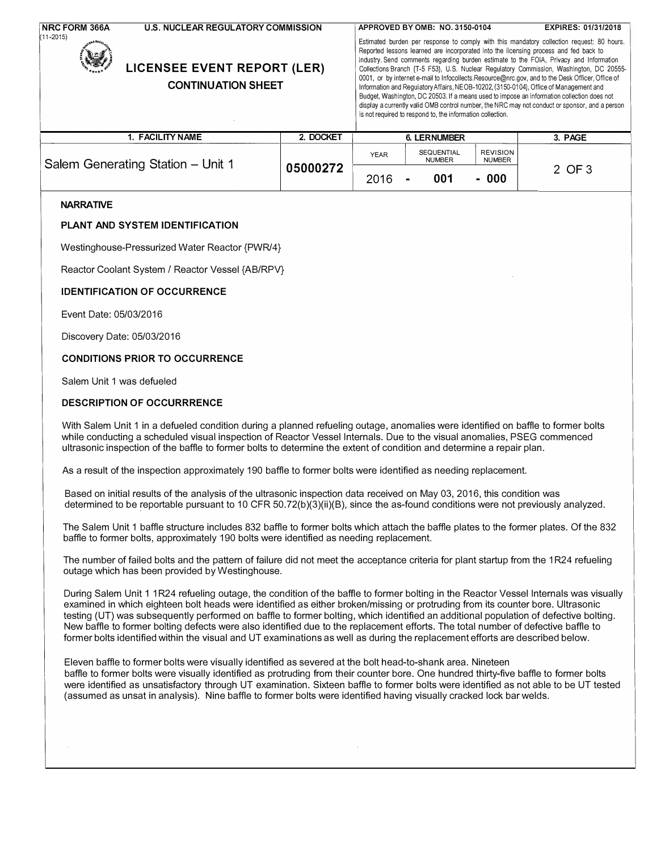| <b>NRC FORM 366A</b><br>(11-2015) | <b>U.S. NUCLEAR REGULATORY COMMISSION</b> | <b>LICENSEE EVENT REPORT (LER)</b><br><b>CONTINUATION SHEET</b> |             |                                    | APPROVED BY OMB: NO. 3150-0104<br>is not required to respond to, the information collection. | EXPIRES: 01/31/2018<br>Estimated burden per response to comply with this mandatory collection request: 80 hours.<br>Reported lessons learned are incorporated into the licensing process and fed back to<br>industry. Send comments regarding burden estimate to the FOIA, Privacy and Information<br>Collections Branch (T-5 F53), U.S. Nuclear Regulatory Commission, Washington, DC 20555-<br>0001, or by internet e-mail to Infocollects.Resource@nrc.gov, and to the Desk Officer, Office of<br>Information and Regulatory Affairs, NEOB-10202, (3150-0104), Office of Management and<br>Budget, Washington, DC 20503. If a means used to impose an information collection does not<br>display a currently valid OMB control number, the NRC may not conduct or sponsor, and a person |
|-----------------------------------|-------------------------------------------|-----------------------------------------------------------------|-------------|------------------------------------|----------------------------------------------------------------------------------------------|--------------------------------------------------------------------------------------------------------------------------------------------------------------------------------------------------------------------------------------------------------------------------------------------------------------------------------------------------------------------------------------------------------------------------------------------------------------------------------------------------------------------------------------------------------------------------------------------------------------------------------------------------------------------------------------------------------------------------------------------------------------------------------------------|
|                                   | 1. FACILITY NAME                          | 2. DOCKET                                                       |             | <b>6. LERNUMBER</b>                |                                                                                              | 3. PAGE                                                                                                                                                                                                                                                                                                                                                                                                                                                                                                                                                                                                                                                                                                                                                                                    |
|                                   | Salem Generating Station - Unit 1         | 05000272                                                        | <b>YEAR</b> | <b>SEQUENTIAL</b><br><b>NUMBER</b> | <b>REVISION</b><br><b>NUMBER</b>                                                             | 2 OF 3                                                                                                                                                                                                                                                                                                                                                                                                                                                                                                                                                                                                                                                                                                                                                                                     |

2016 - 001

- 000

2 OF3

#### **NARRATIVE**

#### PLANT AND SYSTEM IDENTIFICATION

Westinghouse-Pressurized Water Reactor {PWR/4}

Reactor Coolant System / Reactor Vessel {AB/RPV}

#### IDENTIFICATION OF OCCURRENCE

Event Date: 05/03/2016

Discovery Date: 05/03/2016

#### CONDITIONS PRIOR TO OCCURRENCE

Salem Unit 1 was defueled

#### DESCRIPTION OF OCCURRRENCE

With Salem Unit 1 in a defueled condition during a planned refueling outage, anomalies were identified on baffle to former bolts while conducting a scheduled visual inspection of Reactor Vessel Internals. Due to the visual anomalies, PSEG commenced ultrasonic inspection of the baffle to former bolts to determine the extent of condition and determine a repair plan.

As a result of the inspection approximately 190 baffle to former bolts were identified as needing replacement.

Based on initial results of the analysis of the ultrasonic inspection data received on May 03, 2016, this condition was determined to be reportable pursuant to 10 CFR 50.72(b)(3)(ii)(B), since the as-found conditions were not previously analyzed.

The Salem Unit 1 baffle structure includes 832 baffle to former bolts which attach the baffle plates to the former plates. Of the 832 baffle to former bolts, approximately 190 bolts were identified as needing replacement.

The number of failed bolts and the pattern of failure did not meet the acceptance criteria for plant startup from the 1 R24 refueling outage which has been provided by Westinghouse.

During Salem Unit 1 1 R24 refueling outage, the condition of the baffle to former bolting in the Reactor Vessel Internals was visually examined in which eighteen bolt heads were identified as either broken/missing or protruding from its counter bore. Ultrasonic testing (UT) was subsequently performed on baffle to former bolting, which identified an additional population of defective bolting. New baffle to former bolting defects were also identified due to the replacement efforts. The total number of defective baffle to former bolts identified within the visual and UT examinations as well as during the replacement efforts are described below.

Eleven baffle to former bolts were visually identified as severed at the bolt head-to-shank area. Nineteen baffle to former bolts were visually identified as protruding from their counter bore. One hundred thirty-five baffle to former bolts were identified as unsatisfactory through UT examination. Sixteen baffle to former bolts were identified as not able to be UT tested (assumed as unsat in analysis). Nine baffle to former bolts were identified having visually cracked lock bar welds.